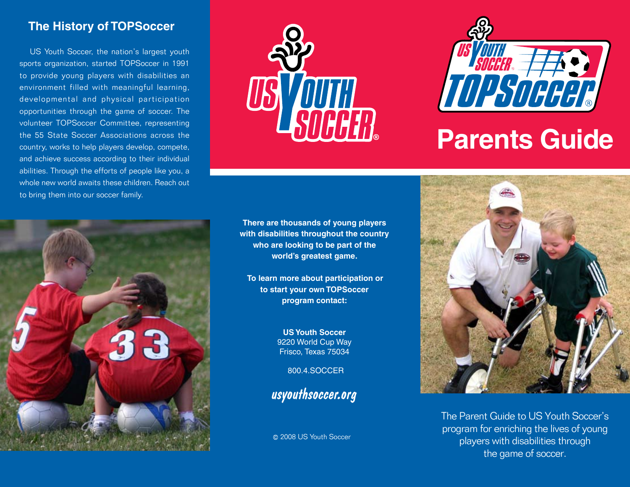# **The History of TOPSoccer**

US Youth Soccer, the nation's largest youth sports organization, started TOPSoccer in 1991 to provide young players with disabilities an environment filled with meaningful learning, developmental and physical participation opportunities through the game of soccer. The volunteer TOPSoccer Committee, representing the 55 State Soccer Associations across the country, works to help players develop, compete, and achieve success according to their individual abilities. Through the efforts of people like you, a whole new world awaits these children. Reach out to bring them into our soccer family.



**There are thousands of young players with disabilities throughout the country who are looking to be part of the world's greatest game.** 

 **To learn more about participation or to start your own TOPSoccer program contact:**

> **US Youth Soccer** 9220 World Cup Way Frisco, Texas 75034

> > 800.4.SOCCER

usyouthsoccer.org

2008 US Youth Soccer



# **Parents Guide**



The Parent Guide to US Youth Soccer's program for enriching the lives of young players with disabilities through the game of soccer.